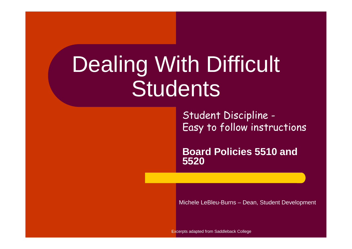# Dealing With Difficult **Students**

Student Discipline -Easy to follow instructions

**Board Policies 5510 and 5520**

Michele LeBleu-Burns – Dean, Student Development

Excerpts adapted from Saddleback College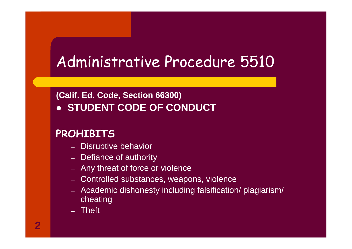### Administrative Procedure 5510

#### **(Calif. Ed. Code, Section 66300)• STUDENT CODE OF CONDUCT**

#### **PROHIBITS**

- Disrijnti – Disruptive behavior
- Defiance of authority
- Any threat of force or violence
- Controlled substances, weapons, violence
- Academic dishonesty including falsification/ plagiarism/ cheating
- Theft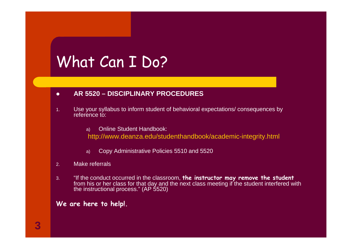### What Can I Do?

#### $\bullet$ **AR 5520 – DISCIPLINARY PROCEDURES**

- 1. Use your syllabus to inform student of behavioral expectations/ consequences by reference to:
	- a)Online Student Handbook:

http://www.deanza.edu/studenthandbook/academic-integrity.html

- a)Copy Administrative Policies 5510 and 5520
- 2.Make referrals
- 3. "If the conduct occurred in the classroom, **the instructor may remove the student**from his or her class for that day and the next class meeting if the student interfered with<br>the instructional process." (AP 5520)

#### **We are here to help!.**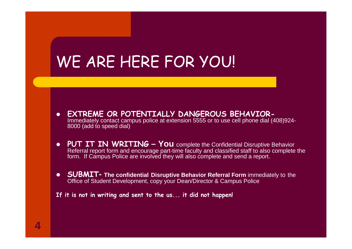### WE ARE HERE FOR YOU!

- $\bullet$  **EXTREME OR POTENTIALLY DANGEROUS BEHAVIOR-**Immediately contact campus police at extension 5555 or to use cell phone dial (408)924-8000 (add to speed dial)
- PUT IT IN WRITING You complete the Confidential Disruptive Behavior<br>Referral report form and encourage part-time faculty and classified staff to also complete the<br>form. If Campus Police are involved they will also comp
- **SUBMIT-** The confidential Disruptive Behavior Referral Form immediately to the Office of Student Development copy your Dean/Director & Campus Police Office of Student Development, copy your Dean/Director & Campus Police

**If it is not in writing and sent to the us... it did not happen!**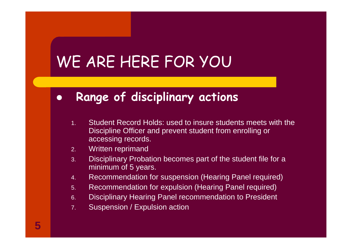## WE ARE HERE FOR YOU

#### $\bullet$ **Range of disciplinary actions**

- 1. Student Record Holds: used to insure students meets with the Discipline Officer and prevent student from enrolling or accessing records.
- 2.Written reprimand
- Disciplinary Probation becomes part of the student file for a 3.minimum of 5 years.
- 4.Recommendation for suspension (Hearing Panel required)
- 5.Recommendation for expulsion (Hearing Panel required)
- 6.Disciplinary Hearing Panel recommendation to President
- 7.Suspension / Expulsion action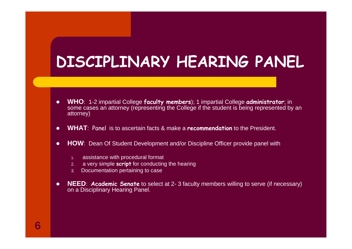### **DISCIPLINARY HEARING PANEL**

- $\bullet$ **WHO**: 1-2 impartial College **faculty members**); 1 impartial College **administrator**; in some cases an attorney (representing the College if the student is being represented by an attorney)
- $\bullet$ **WHAT**: Panel is to ascertain facts & make a **recommendation** to the President.
- $\bullet$  **HOW**: Dean Of Student Development and/or Discipline Officer provide panel with
	- 1.assistance with procedural format
	- 2. a very simple **script** for conducting the hearing
	- 3. Documentation pertaining to case
- $\bullet$  **NEED**: **Academic Senate** to select at 2- 3 faculty members willing to serve (if necessary) on a Disciplinary Hearing Panel.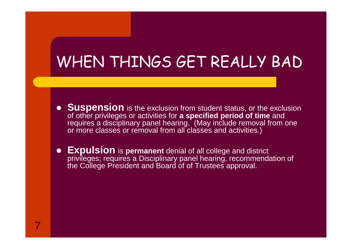# WHEN THINGS GET REALLY BAD

- **Suspension** is the exclusion from student status, or the exclusion of other privileges or activities for a specified period of time and of other privileges or activities for **a specified period of time** and requires a disciplinary panel hearing. (May include removal from one or more classes or removal from all classes and activities.)
- **Expulsion** is **permanent** denial of all college and district privileges; requires a Disciplinary panel hearing, recommendation of the College President and Board of of Trustees approval.